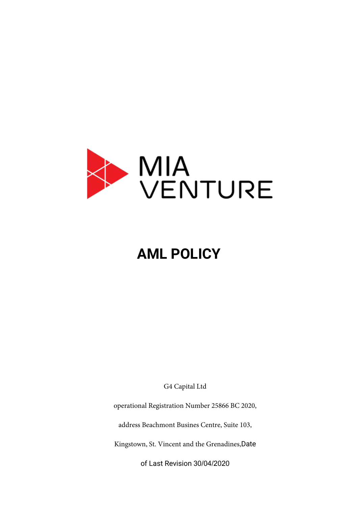

# **AML POLICY**

G4 Capital Ltd

operational Registration Number 25866 BC 2020,

address Beachmont Busines Centre, Suite 103,

Kingstown, St. Vincent and the Grenadines,Date

of Last Revision 30/04/2020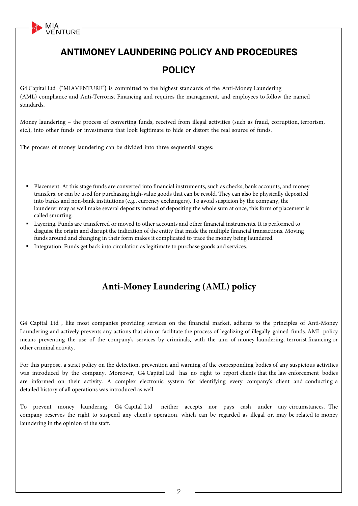**ANTIMONEY LAUNDERING POLICY AND PROCEDURES POLICY**

G4 Capital Ltd ("MIAVENTURE") is committed to the highest standards of the Anti-Money Laundering (AML) compliance and Anti-Terrorist Financing and requires the management, and employees to follow the named standards.

Money laundering – the process of converting funds, received from illegal activities (such as fraud, corruption, terrorism, etc.), into other funds or investments that look legitimate to hide or distort the real source of funds.

The process of money laundering can be divided into three sequential stages:

MIA<br>VENTURE

- Placement. At this stage funds are converted into financial instruments, such as checks, bank accounts, and money transfers, or can be used for purchasing high-value goods that can be resold. They can also be physically deposited into banks and non-bank institutions (e.g., currency exchangers). To avoid suspicion by the company, the launderer may as well make several deposits instead of depositing the whole sum at once, this form of placement is called smurfing.
- Layering. Funds are transferred or moved to other accounts and other financial instruments. It is performed to disguise the origin and disrupt the indication of the entity that made the multiple financial transactions. Moving funds around and changing in their form makes it complicated to trace the money being laundered.
- Integration. Funds get back into circulation as legitimate to purchase goods and services.

## **Anti-Money Laundering (AML) policy**

G4 Capital Ltd , like most companies providing services on the financial market, adheres to the principles of Anti-Money Laundering and actively prevents any actions that aim or facilitate the process of legalizing of illegally gained funds. AML policy means preventing the use of the company's services by criminals, with the aim of money laundering, terrorist financing or other criminal activity.

For this purpose, a strict policy on the detection, prevention and warning of the corresponding bodies of any suspicious activities was introduced by the company. Moreover, G4 Capital Ltd has no right to report clients that the law enforcement bodies are informed on their activity. A complex electronic system for identifying every company's client and conducting a detailed history of all operations was introduced as well.

To prevent money laundering, G4 Capital Ltd neither accepts nor pays cash under any circumstances. The company reserves the right to suspend any client's operation, which can be regarded as illegal or, may be related to money laundering in the opinion of the staff.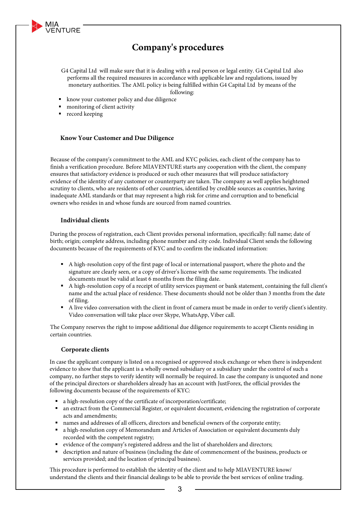

- G4 Capital Ltd will make sure that it is dealing with a real person or legal entity. G4 Capital Ltd also performs all the required measures in accordance with applicable law and regulations, issued by monetary authorities. The AML policy is being fulfilled within G4 Capital Ltd by means of the following:
- know your customer policy and due diligence
- **monitoring of client activity**
- **record keeping**

MIA<br>VENTURE

#### **Know Your Customer and Due Diligence**

Because of the company's commitment to the AML and KYC policies, each client of the company has to finish a verification procedure. Before MIAVENTURE starts any cooperation with the client, the company ensures that satisfactory evidence is produced or such other measures that will produce satisfactory evidence of the identity of any customer or counterparty are taken. The company as well applies heightened scrutiny to clients, who are residents of other countries, identified by credible sources as countries, having inadequate AML standards or that may represent a high risk for crime and corruption and to beneficial owners who resides in and whose funds are sourced from named countries.

#### **Individual clients**

During the process of registration, each Client provides personal information, specifically: full name; date of birth; origin; complete address, including phone number and city code. Individual Client sends the following documents because of the requirements of KYC and to confirm the indicated information:

- A high-resolution copy of the first page of local or international passport, where the photo and the signature are clearly seen, or a copy of driver's license with the same requirements. The indicated documents must be valid at least 6 months from the filing date.
- A high-resolution copy of a receipt of utility services payment or bank statement, containing the full client's name and the actual place of residence. These documents should not be older than 3 months from the date of filing.
- A live video conversation with the client in front of camera must be made in order to verify client's identity. Video conversation will take place over Skype, WhatsApp, Viber call.

The Company reserves the right to impose additional due diligence requirements to accept Clients residing in certain countries.

#### **Corporate clients**

In case the applicant company is listed on a recognised or approved stock exchange or when there is independent evidence to show that the applicant is a wholly owned subsidiary or a subsidiary under the control of such a company, no further steps to verify identity will normally be required. In case the company is unquoted and none of the principal directors or shareholders already has an account with JustForex, the official provides the following documents because of the requirements of KYC:

- a high-resolution copy of the certificate of incorporation/certificate;
- an extract from the Commercial Register, or equivalent document, evidencing the registration of corporate acts and amendments;
- names and addresses of all officers, directors and beneficial owners of the corporate entity;
- a high-resolution copy of Memorandum and Articles of Association or equivalent documents duly recorded with the competent registry;
- evidence of the company's registered address and the list of shareholders and directors;
- description and nature of business (including the date of commencement of the business, products or services provided; and the location of principal business).

This procedure is performed to establish the identity of the client and to help MIAVENTURE know/ understand the clients and their financial dealings to be able to provide the best services of online trading.